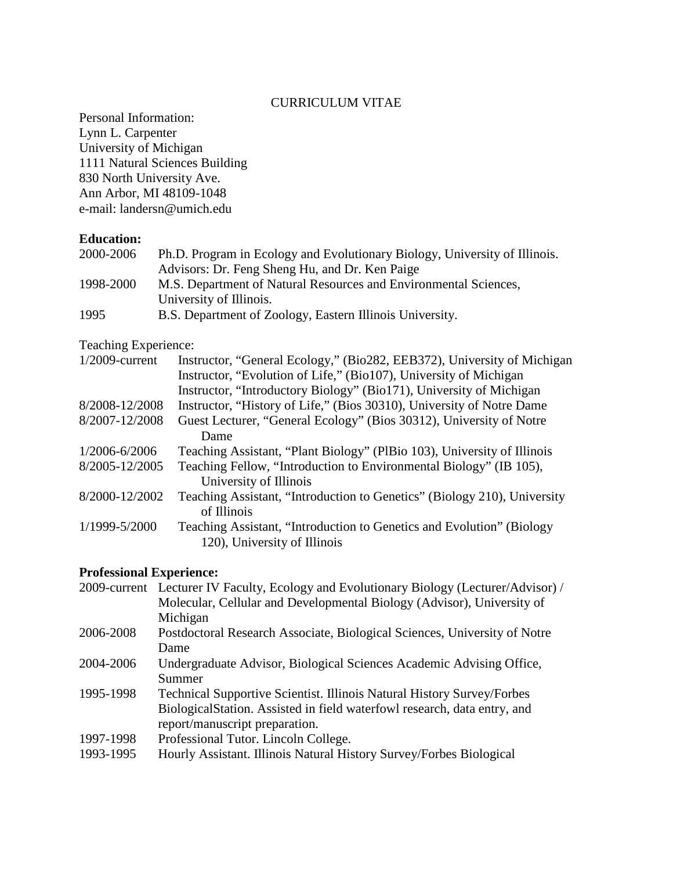### CURRICULUM VITAE

Personal Information: Lynn L. Carpenter University of Michigan 1111 Natural Sciences Building 830 North University Ave. Ann Arbor, MI 48109-1048 e-mail: landersn@umich.edu

## **Education:**

| 2000-2006 | Ph.D. Program in Ecology and Evolutionary Biology, University of Illinois. |
|-----------|----------------------------------------------------------------------------|
|           | Advisors: Dr. Feng Sheng Hu, and Dr. Ken Paige                             |
| 1998-2000 | M.S. Department of Natural Resources and Environmental Sciences,           |
|           | University of Illinois.                                                    |
| 1995      | B.S. Department of Zoology, Eastern Illinois University.                   |

Teaching Experience:

| $1/2009$ -current | Instructor, "General Ecology," (Bio282, EEB372), University of Michigan  |
|-------------------|--------------------------------------------------------------------------|
|                   | Instructor, "Evolution of Life," (Bio107), University of Michigan        |
|                   | Instructor, "Introductory Biology" (Bio171), University of Michigan      |
| 8/2008-12/2008    | Instructor, "History of Life," (Bios 30310), University of Notre Dame    |
| 8/2007-12/2008    | Guest Lecturer, "General Ecology" (Bios 30312), University of Notre      |
|                   | Dame                                                                     |
| 1/2006-6/2006     | Teaching Assistant, "Plant Biology" (PlBio 103), University of Illinois  |
| 8/2005-12/2005    | Teaching Fellow, "Introduction to Environmental Biology" (IB 105),       |
|                   | University of Illinois                                                   |
| 8/2000-12/2002    | Teaching Assistant, "Introduction to Genetics" (Biology 210), University |
|                   | of Illinois                                                              |
| 1/1999-5/2000     | Teaching Assistant, "Introduction to Genetics and Evolution" (Biology    |
|                   | 120), University of Illinois                                             |
|                   |                                                                          |

# **Professional Experience:**

|           | 2009-current Lecturer IV Faculty, Ecology and Evolutionary Biology (Lecturer/Advisor) / |
|-----------|-----------------------------------------------------------------------------------------|
|           | Molecular, Cellular and Developmental Biology (Advisor), University of                  |
|           | Michigan                                                                                |
| 2006-2008 | Postdoctoral Research Associate, Biological Sciences, University of Notre               |
|           | Dame                                                                                    |
| 2004-2006 | Undergraduate Advisor, Biological Sciences Academic Advising Office,                    |
|           | Summer                                                                                  |
| 1995-1998 | <b>Technical Supportive Scientist. Illinois Natural History Survey/Forbes</b>           |
|           | Biological Station. Assisted in field waterfowl research, data entry, and               |
|           | report/manuscript preparation.                                                          |
| 1997-1998 | Professional Tutor. Lincoln College.                                                    |
| 1993-1995 | Hourly Assistant. Illinois Natural History Survey/Forbes Biological                     |
|           |                                                                                         |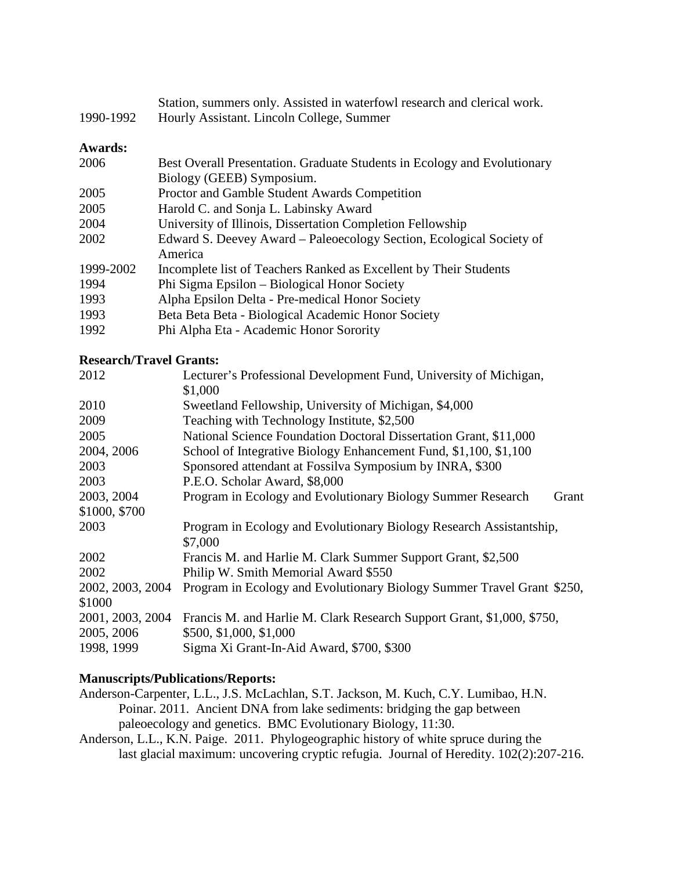| 1990-1992      | Station, summers only. Assisted in waterfowl research and clerical work.<br>Hourly Assistant. Lincoln College, Summer |
|----------------|-----------------------------------------------------------------------------------------------------------------------|
| <b>Awards:</b> |                                                                                                                       |
| 2006           | Best Overall Presentation. Graduate Students in Ecology and Evolutionary                                              |
|                | Biology (GEEB) Symposium.                                                                                             |
| 2005           | Proctor and Gamble Student Awards Competition                                                                         |
| 2005           | Harold C. and Sonja L. Labinsky Award                                                                                 |
| 2004           | University of Illinois, Dissertation Completion Fellowship                                                            |
| 2002           | Edward S. Deevey Award – Paleoecology Section, Ecological Society of<br>America                                       |
| 1999-2002      | Incomplete list of Teachers Ranked as Excellent by Their Students                                                     |
| 1994           | Phi Sigma Epsilon – Biological Honor Society                                                                          |
| 1993           | Alpha Epsilon Delta - Pre-medical Honor Society                                                                       |
| 1993           | Beta Beta Beta - Biological Academic Honor Society                                                                    |
| 1992           | Phi Alpha Eta - Academic Honor Sorority                                                                               |

**Research/Travel Grants:**

| 2012             | Lecturer's Professional Development Fund, University of Michigan,<br>\$1,000   |
|------------------|--------------------------------------------------------------------------------|
| 2010             | Sweetland Fellowship, University of Michigan, \$4,000                          |
| 2009             | Teaching with Technology Institute, \$2,500                                    |
| 2005             | National Science Foundation Doctoral Dissertation Grant, \$11,000              |
| 2004, 2006       | School of Integrative Biology Enhancement Fund, \$1,100, \$1,100               |
| 2003             | Sponsored attendant at Fossilva Symposium by INRA, \$300                       |
| 2003             | P.E.O. Scholar Award, \$8,000                                                  |
| 2003, 2004       | Program in Ecology and Evolutionary Biology Summer Research<br>Grant           |
| \$1000, \$700    |                                                                                |
| 2003             | Program in Ecology and Evolutionary Biology Research Assistantship,<br>\$7,000 |
| 2002             | Francis M. and Harlie M. Clark Summer Support Grant, \$2,500                   |
| 2002             | Philip W. Smith Memorial Award \$550                                           |
| 2002, 2003, 2004 | Program in Ecology and Evolutionary Biology Summer Travel Grant \$250,         |
| \$1000           |                                                                                |
| 2001, 2003, 2004 | Francis M. and Harlie M. Clark Research Support Grant, \$1,000, \$750,         |
| 2005, 2006       | \$500, \$1,000, \$1,000                                                        |
| 1998, 1999       | Sigma Xi Grant-In-Aid Award, \$700, \$300                                      |

## **Manuscripts/Publications/Reports:**

Anderson-Carpenter, L.L., J.S. McLachlan, S.T. Jackson, M. Kuch, C.Y. Lumibao, H.N. Poinar. 2011. Ancient DNA from lake sediments: bridging the gap between paleoecology and genetics. BMC Evolutionary Biology, 11:30. Anderson, L.L., K.N. Paige. 2011. Phylogeographic history of white spruce during the

last glacial maximum: uncovering cryptic refugia. Journal of Heredity. 102(2):207-216.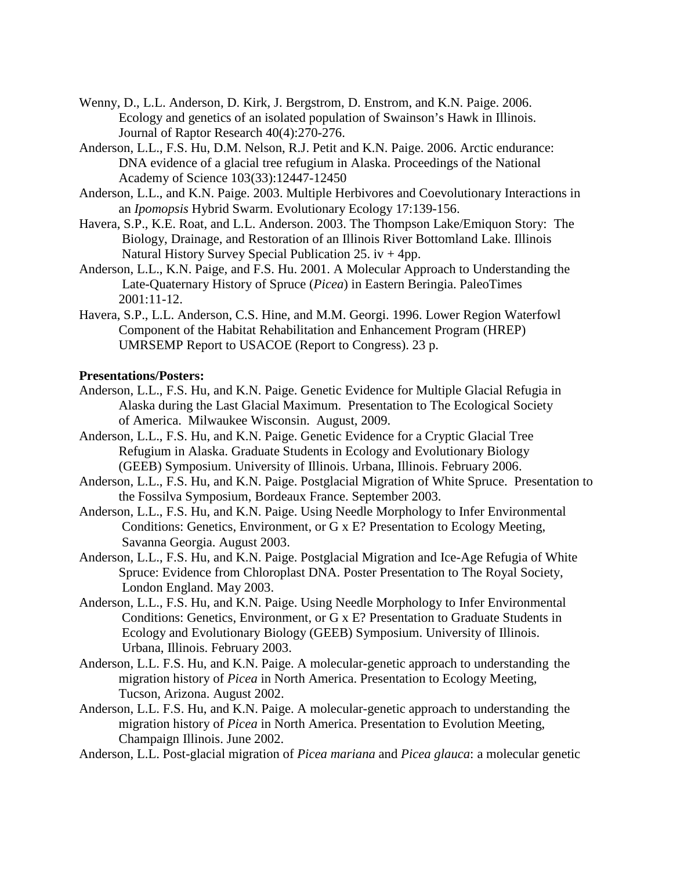- Wenny, D., L.L. Anderson, D. Kirk, J. Bergstrom, D. Enstrom, and K.N. Paige. 2006. Ecology and genetics of an isolated population of Swainson's Hawk in Illinois. Journal of Raptor Research 40(4):270-276.
- Anderson, L.L., F.S. Hu, D.M. Nelson, R.J. Petit and K.N. Paige. 2006. Arctic endurance: DNA evidence of a glacial tree refugium in Alaska. Proceedings of the National Academy of Science 103(33):12447-12450
- Anderson, L.L., and K.N. Paige. 2003. Multiple Herbivores and Coevolutionary Interactions in an *Ipomopsis* Hybrid Swarm. Evolutionary Ecology 17:139-156.
- Havera, S.P., K.E. Roat, and L.L. Anderson. 2003. The Thompson Lake/Emiquon Story: The Biology, Drainage, and Restoration of an Illinois River Bottomland Lake. Illinois Natural History Survey Special Publication 25. iv  $+4pp$ .
- Anderson, L.L., K.N. Paige, and F.S. Hu. 2001. A Molecular Approach to Understanding the Late-Quaternary History of Spruce (*Picea*) in Eastern Beringia. PaleoTimes 2001:11-12.
- Havera, S.P., L.L. Anderson, C.S. Hine, and M.M. Georgi. 1996. Lower Region Waterfowl Component of the Habitat Rehabilitation and Enhancement Program (HREP) UMRSEMP Report to USACOE (Report to Congress). 23 p.

#### **Presentations/Posters:**

- Anderson, L.L., F.S. Hu, and K.N. Paige. Genetic Evidence for Multiple Glacial Refugia in Alaska during the Last Glacial Maximum. Presentation to The Ecological Society of America. Milwaukee Wisconsin. August, 2009.
- Anderson, L.L., F.S. Hu, and K.N. Paige. Genetic Evidence for a Cryptic Glacial Tree Refugium in Alaska. Graduate Students in Ecology and Evolutionary Biology (GEEB) Symposium. University of Illinois. Urbana, Illinois. February 2006.
- Anderson, L.L., F.S. Hu, and K.N. Paige. Postglacial Migration of White Spruce. Presentation to the Fossilva Symposium, Bordeaux France. September 2003.
- Anderson, L.L., F.S. Hu, and K.N. Paige. Using Needle Morphology to Infer Environmental Conditions: Genetics, Environment, or G x E? Presentation to Ecology Meeting, Savanna Georgia. August 2003.
- Anderson, L.L., F.S. Hu, and K.N. Paige. Postglacial Migration and Ice-Age Refugia of White Spruce: Evidence from Chloroplast DNA. Poster Presentation to The Royal Society, London England. May 2003.
- Anderson, L.L., F.S. Hu, and K.N. Paige. Using Needle Morphology to Infer Environmental Conditions: Genetics, Environment, or G x E? Presentation to Graduate Students in Ecology and Evolutionary Biology (GEEB) Symposium. University of Illinois. Urbana, Illinois. February 2003.
- Anderson, L.L. F.S. Hu, and K.N. Paige. A molecular-genetic approach to understanding the migration history of *Picea* in North America. Presentation to Ecology Meeting, Tucson, Arizona. August 2002.
- Anderson, L.L. F.S. Hu, and K.N. Paige. A molecular-genetic approach to understanding the migration history of *Picea* in North America. Presentation to Evolution Meeting, Champaign Illinois. June 2002.
- Anderson, L.L. Post-glacial migration of *Picea mariana* and *Picea glauca*: a molecular genetic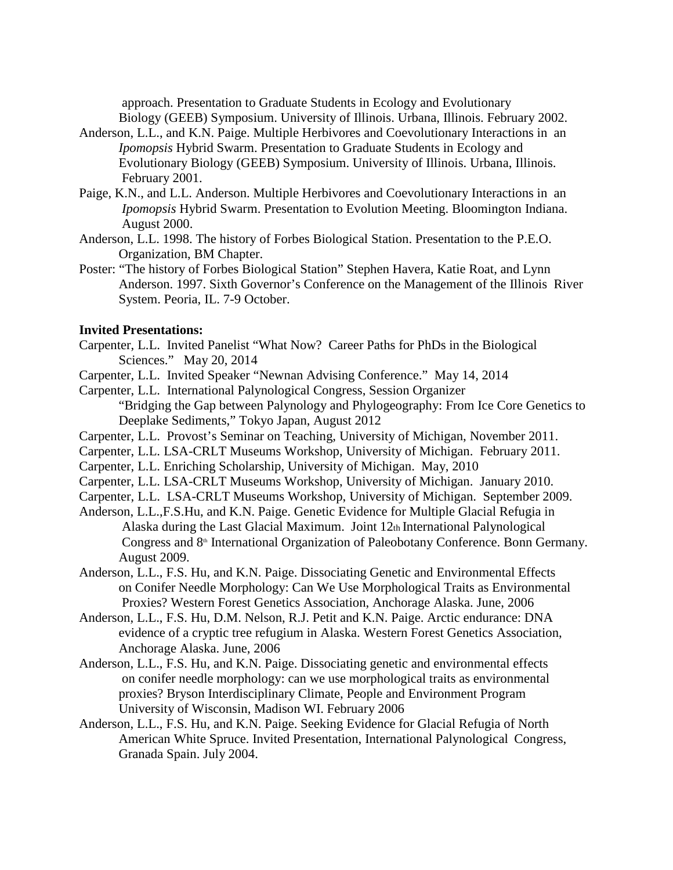approach. Presentation to Graduate Students in Ecology and Evolutionary Biology (GEEB) Symposium. University of Illinois. Urbana, Illinois. February 2002.

- Anderson, L.L., and K.N. Paige. Multiple Herbivores and Coevolutionary Interactions in an *Ipomopsis* Hybrid Swarm. Presentation to Graduate Students in Ecology and Evolutionary Biology (GEEB) Symposium. University of Illinois. Urbana, Illinois. February 2001.
- Paige, K.N., and L.L. Anderson. Multiple Herbivores and Coevolutionary Interactions in an *Ipomopsis* Hybrid Swarm. Presentation to Evolution Meeting. Bloomington Indiana. August 2000.
- Anderson, L.L. 1998. The history of Forbes Biological Station. Presentation to the P.E.O. Organization, BM Chapter.
- Poster: "The history of Forbes Biological Station" Stephen Havera, Katie Roat, and Lynn Anderson. 1997. Sixth Governor's Conference on the Management of the Illinois River System. Peoria, IL. 7-9 October.

#### **Invited Presentations:**

- Carpenter, L.L. Invited Panelist "What Now? Career Paths for PhDs in the Biological Sciences." May 20, 2014
- Carpenter, L.L. Invited Speaker "Newnan Advising Conference." May 14, 2014
- Carpenter, L.L. International Palynological Congress, Session Organizer "Bridging the Gap between Palynology and Phylogeography: From Ice Core Genetics to Deeplake Sediments," Tokyo Japan, August 2012
- Carpenter, L.L. Provost's Seminar on Teaching, University of Michigan, November 2011.
- Carpenter, L.L. LSA-CRLT Museums Workshop, University of Michigan. February 2011.
- Carpenter, L.L. Enriching Scholarship, University of Michigan. May, 2010
- Carpenter, L.L. LSA-CRLT Museums Workshop, University of Michigan. January 2010.
- Carpenter, L.L. LSA-CRLT Museums Workshop, University of Michigan. September 2009.
- Anderson, L.L.,F.S.Hu, and K.N. Paige. Genetic Evidence for Multiple Glacial Refugia in Alaska during the Last Glacial Maximum. Joint 12th International Palynological Congress and 8<sup>th</sup> International Organization of Paleobotany Conference. Bonn Germany. August 2009.
- Anderson, L.L., F.S. Hu, and K.N. Paige. Dissociating Genetic and Environmental Effects on Conifer Needle Morphology: Can We Use Morphological Traits as Environmental Proxies? Western Forest Genetics Association, Anchorage Alaska. June, 2006
- Anderson, L.L., F.S. Hu, D.M. Nelson, R.J. Petit and K.N. Paige. Arctic endurance: DNA evidence of a cryptic tree refugium in Alaska. Western Forest Genetics Association, Anchorage Alaska. June, 2006
- Anderson, L.L., F.S. Hu, and K.N. Paige. Dissociating genetic and environmental effects on conifer needle morphology: can we use morphological traits as environmental proxies? Bryson Interdisciplinary Climate, People and Environment Program University of Wisconsin, Madison WI. February 2006
- Anderson, L.L., F.S. Hu, and K.N. Paige. Seeking Evidence for Glacial Refugia of North American White Spruce. Invited Presentation, International Palynological Congress, Granada Spain. July 2004.